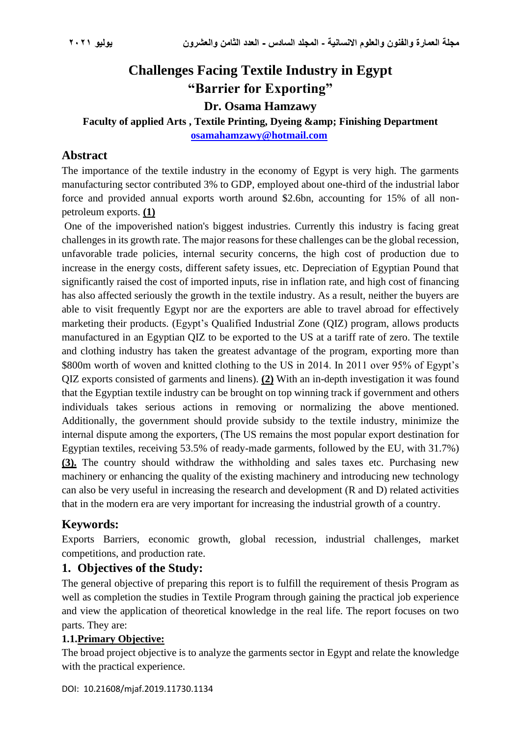# **Challenges Facing Textile Industry in Egypt "Barrier for Exporting"**

**Dr. Osama Hamzawy**

#### Faculty of applied Arts, Textile Printing, Dyeing & amp; Finishing Department **[osamahamzawy@hotmail.com](mailto:osamahamzawy@hotmail.com)**

#### **Abstract**

The importance of the textile industry in the economy of Egypt is very high. The garments manufacturing sector contributed 3% to GDP, employed about one-third of the industrial labor force and provided annual exports worth around \$2.6bn, accounting for 15% of all nonpetroleum exports. **(1)**

One of the impoverished nation's biggest industries. Currently this industry is facing great challenges in its growth rate. The major reasons for these challenges can be the global recession, unfavorable trade policies, internal security concerns, the high cost of production due to increase in the energy costs, different safety issues, etc. Depreciation of Egyptian Pound that significantly raised the cost of imported inputs, rise in inflation rate, and high cost of financing has also affected seriously the growth in the textile industry. As a result, neither the buyers are able to visit frequently Egypt nor are the exporters are able to travel abroad for effectively marketing their products. (Egypt's Qualified Industrial Zone (QIZ) program, allows products manufactured in an Egyptian QIZ to be exported to the US at a tariff rate of zero. The textile and clothing industry has taken the greatest advantage of the program, exporting more than \$800m worth of woven and knitted clothing to the US in 2014. In 2011 over 95% of Egypt's QIZ exports consisted of garments and linens). **(2)** With an in-depth investigation it was found that the Egyptian textile industry can be brought on top winning track if government and others individuals takes serious actions in removing or normalizing the above mentioned. Additionally, the government should provide subsidy to the textile industry, minimize the internal dispute among the exporters, (The US remains the most popular export destination for Egyptian textiles, receiving 53.5% of ready-made garments, followed by the EU, with 31.7%) **(3).** The country should withdraw the withholding and sales taxes etc. Purchasing new machinery or enhancing the quality of the existing machinery and introducing new technology can also be very useful in increasing the research and development (R and D) related activities that in the modern era are very important for increasing the industrial growth of a country.

## **Keywords:**

Exports Barriers, economic growth, global recession, industrial challenges, market competitions, and production rate.

## **1. Objectives of the Study:**

The general objective of preparing this report is to fulfill the requirement of thesis Program as well as completion the studies in Textile Program through gaining the practical job experience and view the application of theoretical knowledge in the real life. The report focuses on two parts. They are:

#### **1.1.Primary Objective:**

The broad project objective is to analyze the garments sector in Egypt and relate the knowledge with the practical experience.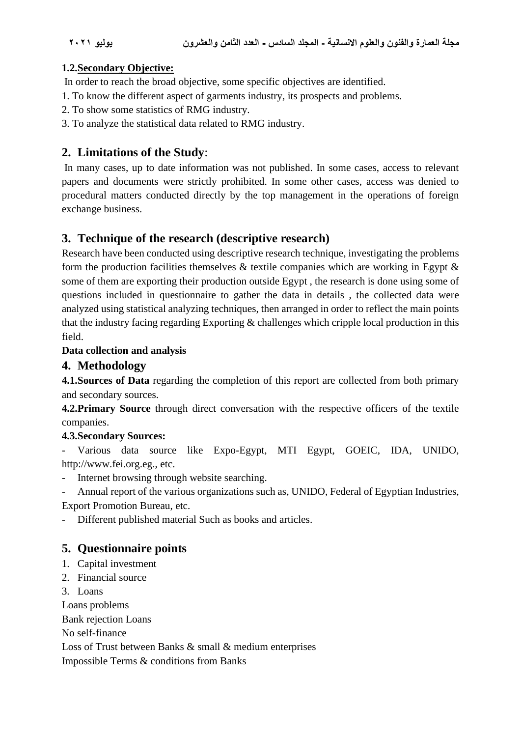#### **1.2.Secondary Objective:**

In order to reach the broad objective, some specific objectives are identified.

- 1. To know the different aspect of garments industry, its prospects and problems.
- 2. To show some statistics of RMG industry.
- 3. To analyze the statistical data related to RMG industry.

## **2. Limitations of the Study**:

In many cases, up to date information was not published. In some cases, access to relevant papers and documents were strictly prohibited. In some other cases, access was denied to procedural matters conducted directly by the top management in the operations of foreign exchange business.

## **3. Technique of the research (descriptive research)**

Research have been conducted using descriptive research technique, investigating the problems form the production facilities themselves  $\&$  textile companies which are working in Egypt  $\&$ some of them are exporting their production outside Egypt , the research is done using some of questions included in questionnaire to gather the data in details , the collected data were analyzed using statistical analyzing techniques, then arranged in order to reflect the main points that the industry facing regarding Exporting & challenges which cripple local production in this field.

#### **Data collection and analysis**

#### **4. Methodology**

**4.1. Sources of Data** regarding the completion of this report are collected from both primary and secondary sources.

**4.2.Primary Source** through direct conversation with the respective officers of the textile companies.

#### **4.3.Secondary Sources:**

- Various data source like Expo-Egypt, MTI Egypt, GOEIC, IDA, UNIDO, [http://www.fei.org.eg.](http://www.fei.org.eg/), etc.

- Internet browsing through website searching.

- Annual report of the various organizations such as, UNIDO, Federal of Egyptian Industries, Export Promotion Bureau, etc.

Different published material Such as books and articles.

## **5. Questionnaire points**

- 1. Capital investment
- 2. Financial source
- 3. Loans

Loans problems

Bank rejection Loans

No self-finance

Loss of Trust between Banks & small & medium enterprises

Impossible Terms & conditions from Banks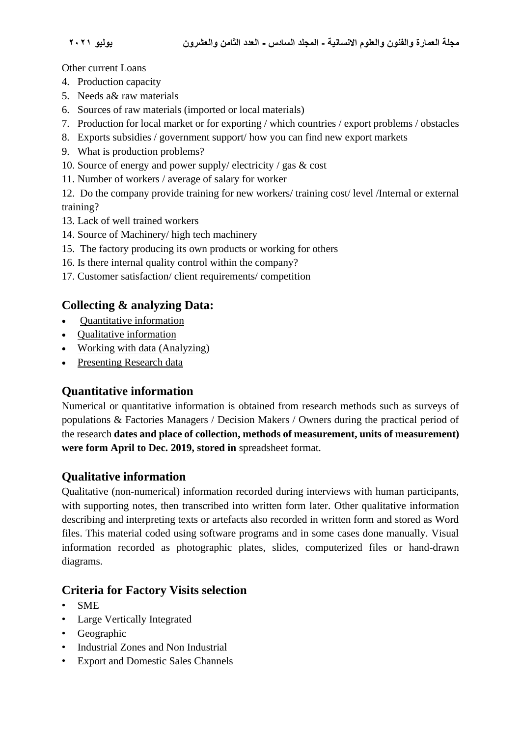Other current Loans

- 4. Production capacity
- 5. Needs a& raw materials
- 6. Sources of raw materials (imported or local materials)
- 7. Production for local market or for exporting / which countries / export problems / obstacles
- 8. Exports subsidies / government support/ how you can find new export markets
- 9. What is production problems?
- 10. Source of energy and power supply/ electricity / gas & cost
- 11. Number of workers / average of salary for worker

12. Do the company provide training for new workers/ training cost/ level /Internal or external training?

- 13. Lack of well trained workers
- 14. Source of Machinery/ high tech machinery
- 15. The factory producing its own products or working for others
- 16. Is there internal quality control within the company?
- 17. Customer satisfaction/ client requirements/ competition

## **Collecting & analyzing Data:**

- [Quantitative information](https://i.unisa.edu.au/students/research-students/continuing-students/data-collection-and-analysis/#Quantitative)
- [Qualitative information](https://i.unisa.edu.au/students/research-students/continuing-students/data-collection-and-analysis/#Qualitative)
- [Working with data](https://i.unisa.edu.au/students/research-students/continuing-students/data-collection-and-analysis/#working) (Analyzing)
- [Presenting Research data](https://i.unisa.edu.au/students/research-students/continuing-students/data-collection-and-analysis/#presenting)

## **Quantitative information**

Numerical or quantitative information is obtained from research methods such as surveys of populations & Factories Managers / Decision Makers / Owners during the practical period of the research **dates and place of collection, methods of measurement, units of measurement) were form April to Dec. 2019, stored in** spreadsheet format.

## **Qualitative information**

Qualitative (non-numerical) information recorded during interviews with human participants, with supporting notes, then transcribed into written form later. Other qualitative information describing and interpreting texts or artefacts also recorded in written form and stored as Word files. This material coded using software programs and in some cases done manually. Visual information recorded as photographic plates, slides, computerized files or hand-drawn diagrams.

## **Criteria for Factory Visits selection**

- SME
- Large Vertically Integrated
- Geographic
- Industrial Zones and Non Industrial
- Export and Domestic Sales Channels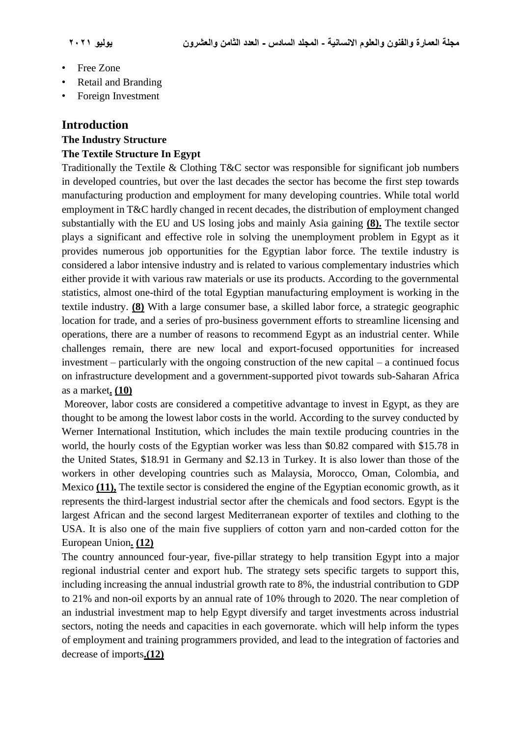- Free Zone
- Retail and Branding
- Foreign Investment

#### **Introduction**

#### **The Industry Structure The Textile Structure In Egypt**

Traditionally the Textile & Clothing T&C sector was responsible for significant job numbers in developed countries, but over the last decades the sector has become the first step towards manufacturing production and employment for many developing countries. While total world employment in T&C hardly changed in recent decades, the distribution of employment changed substantially with the EU and US losing jobs and mainly Asia gaining **(8).** The textile sector plays a significant and effective role in solving the unemployment problem in Egypt as it provides numerous job opportunities for the Egyptian labor force. The textile industry is considered a labor intensive industry and is related to various complementary industries which either provide it with various raw materials or use its products. According to the governmental statistics, almost one-third of the total Egyptian manufacturing employment is working in the textile industry. **(8)** With a large consumer base, a skilled labor force, a strategic geographic location for trade, and a series of pro-business government efforts to streamline licensing and operations, there are a number of reasons to recommend Egypt as an industrial center. While challenges remain, there are new local and export-focused opportunities for increased investment – particularly with the ongoing construction of the new capital – a continued focus on infrastructure development and a government-supported pivot towards sub-Saharan Africa as a market**. (10)**

Moreover, labor costs are considered a competitive advantage to invest in Egypt, as they are thought to be among the lowest labor costs in the world. According to the survey conducted by Werner International Institution, which includes the main textile producing countries in the world, the hourly costs of the Egyptian worker was less than \$0.82 compared with \$15.78 in the United States, \$18.91 in Germany and \$2.13 in Turkey. It is also lower than those of the workers in other developing countries such as Malaysia, Morocco, Oman, Colombia, and Mexico **(11),** The textile sector is considered the engine of the Egyptian economic growth, as it represents the third-largest industrial sector after the chemicals and food sectors. Egypt is the largest African and the second largest Mediterranean exporter of textiles and clothing to the USA. It is also one of the main five suppliers of cotton yarn and non-carded cotton for the European Union**. (12)**

The country announced four-year, five-pillar strategy to help transition Egypt into a major regional industrial center and export hub. The strategy sets specific targets to support this, including increasing the annual industrial growth rate to 8%, the industrial contribution to GDP to 21% and non-oil exports by an annual rate of 10% through to 2020. The near completion of an industrial investment map to help Egypt diversify and target investments across industrial sectors, noting the needs and capacities in each governorate. which will help inform the types of employment and training programmers provided, and lead to the integration of factories and decrease of imports**.(12)**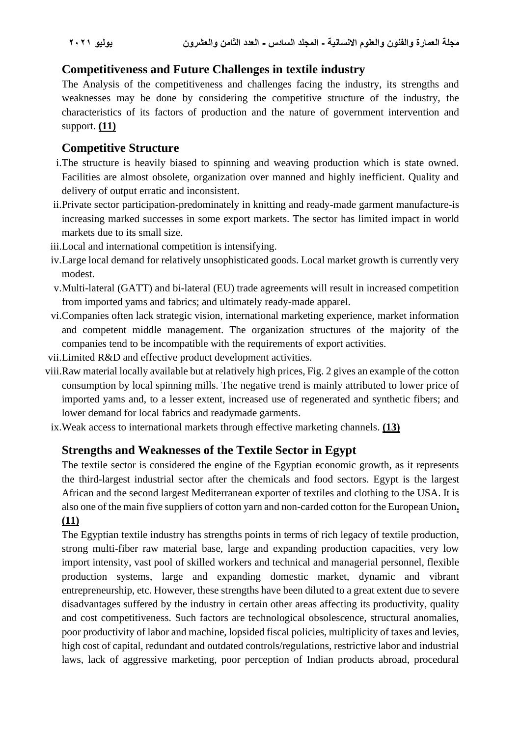## **Competitiveness and Future Challenges in textile industry**

The Analysis of the competitiveness and challenges facing the industry, its strengths and weaknesses may be done by considering the competitive structure of the industry, the characteristics of its factors of production and the nature of government intervention and support. **(11)**

## **Competitive Structure**

- i.The structure is heavily biased to spinning and weaving production which is state owned. Facilities are almost obsolete, organization over manned and highly inefficient. Quality and delivery of output erratic and inconsistent.
- ii.Private sector participation-predominately in knitting and ready-made garment manufacture-is increasing marked successes in some export markets. The sector has limited impact in world markets due to its small size.
- iii.Local and international competition is intensifying.
- iv.Large local demand for relatively unsophisticated goods. Local market growth is currently very modest.
- v.Multi-lateral (GATT) and bi-lateral (EU) trade agreements will result in increased competition from imported yams and fabrics; and ultimately ready-made apparel.
- vi.Companies often lack strategic vision, international marketing experience, market information and competent middle management. The organization structures of the majority of the companies tend to be incompatible with the requirements of export activities.
- vii.Limited R&D and effective product development activities.
- viii.Raw material locally available but at relatively high prices, Fig. 2 gives an example of the cotton consumption by local spinning mills. The negative trend is mainly attributed to lower price of imported yams and, to a lesser extent, increased use of regenerated and synthetic fibers; and lower demand for local fabrics and readymade garments.
- ix.Weak access to international markets through effective marketing channels. **(13)**

## **Strengths and Weaknesses of the Textile Sector in Egypt**

The textile sector is considered the engine of the Egyptian economic growth, as it represents the third-largest industrial sector after the chemicals and food sectors. Egypt is the largest African and the second largest Mediterranean exporter of textiles and clothing to the USA. It is also one of the main five suppliers of cotton yarn and non-carded cotton for the European Union**. (11)**

The Egyptian textile industry has strengths points in terms of rich legacy of textile production, strong multi-fiber raw material base, large and expanding production capacities, very low import intensity, vast pool of skilled workers and technical and managerial personnel, flexible production systems, large and expanding domestic market, dynamic and vibrant entrepreneurship, etc. However, these strengths have been diluted to a great extent due to severe disadvantages suffered by the industry in certain other areas affecting its productivity, quality and cost competitiveness. Such factors are technological obsolescence, structural anomalies, poor productivity of labor and machine, lopsided fiscal policies, multiplicity of taxes and levies, high cost of capital, redundant and outdated controls/regulations, restrictive labor and industrial laws, lack of aggressive marketing, poor perception of Indian products abroad, procedural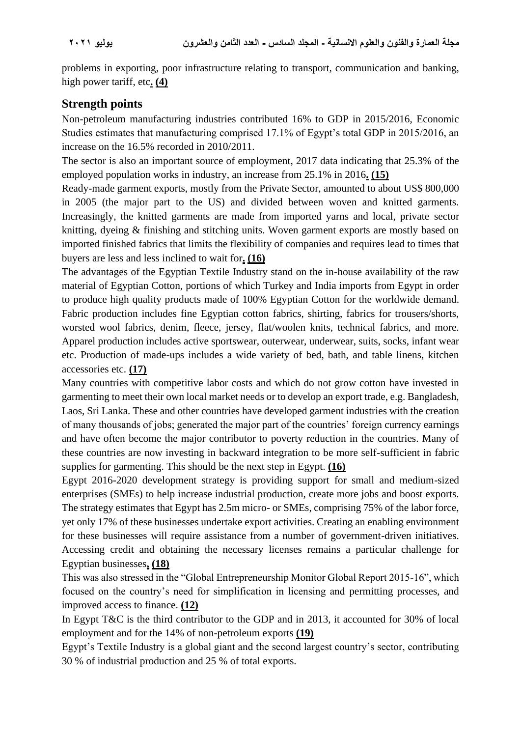problems in exporting, poor infrastructure relating to transport, communication and banking, high power tariff, etc**. (4)**

## **Strength points**

Non-petroleum manufacturing industries contributed 16% to GDP in 2015/2016, Economic Studies estimates that manufacturing comprised 17.1% of Egypt's total GDP in 2015/2016, an increase on the 16.5% recorded in 2010/2011.

The sector is also an important source of employment, 2017 data indicating that 25.3% of the employed population works in industry, an increase from 25.1% in 2016**. (15)**

Ready-made garment exports, mostly from the Private Sector, amounted to about US\$ 800,000 in 2005 (the major part to the US) and divided between woven and knitted garments. Increasingly, the knitted garments are made from imported yarns and local, private sector knitting, dyeing & finishing and stitching units. Woven garment exports are mostly based on imported finished fabrics that limits the flexibility of companies and requires lead to times that buyers are less and less inclined to wait for**. (16)**

The advantages of the Egyptian Textile Industry stand on the in-house availability of the raw material of Egyptian Cotton, portions of which Turkey and India imports from Egypt in order to produce high quality products made of 100% Egyptian Cotton for the worldwide demand. Fabric production includes fine Egyptian cotton fabrics, shirting, fabrics for trousers/shorts, worsted wool fabrics, denim, fleece, jersey, flat/woolen knits, technical fabrics, and more. Apparel production includes active sportswear, outerwear, underwear, suits, socks, infant wear etc. Production of made-ups includes a wide variety of bed, bath, and table linens, kitchen accessories etc. **(17)**

Many countries with competitive labor costs and which do not grow cotton have invested in garmenting to meet their own local market needs or to develop an export trade, e.g. Bangladesh, Laos, Sri Lanka. These and other countries have developed garment industries with the creation of many thousands of jobs; generated the major part of the countries' foreign currency earnings and have often become the major contributor to poverty reduction in the countries. Many of these countries are now investing in backward integration to be more self-sufficient in fabric supplies for garmenting. This should be the next step in Egypt. **(16)**

Egypt 2016-2020 development strategy is providing support for small and medium-sized enterprises (SMEs) to help increase industrial production, create more jobs and boost exports. The strategy estimates that Egypt has 2.5m micro- or SMEs, comprising 75% of the labor force, yet only 17% of these businesses undertake export activities. Creating an enabling environment for these businesses will require assistance from a number of government-driven initiatives. Accessing credit and obtaining the necessary licenses remains a particular challenge for Egyptian businesses**, (18)**

This was also stressed in the "Global Entrepreneurship Monitor Global Report 2015-16", which focused on the country's need for simplification in licensing and permitting processes, and improved access to finance. **(12)**

In Egypt T&C is the third contributor to the GDP and in 2013, it accounted for 30% of local employment and for the 14% of non-petroleum exports **(19)**

Egypt's Textile Industry is a global giant and the second largest country's sector, contributing 30 % of industrial production and 25 % of total exports.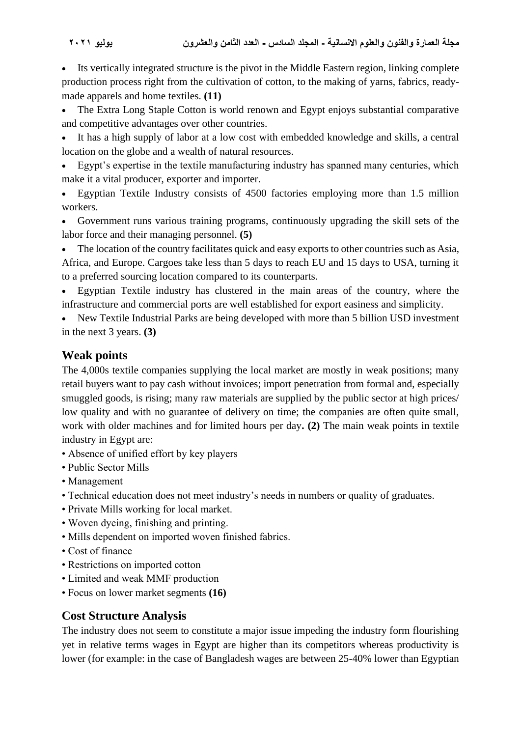Its vertically integrated structure is the pivot in the Middle Eastern region, linking complete production process right from the cultivation of cotton, to the making of yarns, fabrics, readymade apparels and home textiles. **(11)**

The Extra Long Staple Cotton is world renown and Egypt enjoys substantial comparative and competitive advantages over other countries.

It has a high supply of labor at a low cost with embedded knowledge and skills, a central location on the globe and a wealth of natural resources.

• Egypt's expertise in the textile manufacturing industry has spanned many centuries, which make it a vital producer, exporter and importer.

• Egyptian Textile Industry consists of 4500 factories employing more than 1.5 million workers.

• Government runs various training programs, continuously upgrading the skill sets of the labor force and their managing personnel. **(5)**

The location of the country facilitates quick and easy exports to other countries such as Asia, Africa, and Europe. Cargoes take less than 5 days to reach EU and 15 days to USA, turning it to a preferred sourcing location compared to its counterparts.

• Egyptian Textile industry has clustered in the main areas of the country, where the infrastructure and commercial ports are well established for export easiness and simplicity.

• New Textile Industrial Parks are being developed with more than 5 billion USD investment in the next 3 years. **(3)**

## **Weak points**

The 4,000s textile companies supplying the local market are mostly in weak positions; many retail buyers want to pay cash without invoices; import penetration from formal and, especially smuggled goods, is rising; many raw materials are supplied by the public sector at high prices/ low quality and with no guarantee of delivery on time; the companies are often quite small, work with older machines and for limited hours per day**. (2)** The main weak points in textile industry in Egypt are:

- Absence of unified effort by key players
- Public Sector Mills
- Management
- Technical education does not meet industry's needs in numbers or quality of graduates.
- Private Mills working for local market.
- Woven dyeing, finishing and printing.
- Mills dependent on imported woven finished fabrics.
- Cost of finance
- Restrictions on imported cotton
- Limited and weak MMF production
- Focus on lower market segments **(16)**

## **Cost Structure Analysis**

The industry does not seem to constitute a major issue impeding the industry form flourishing yet in relative terms wages in Egypt are higher than its competitors whereas productivity is lower (for example: in the case of Bangladesh wages are between 25-40% lower than Egyptian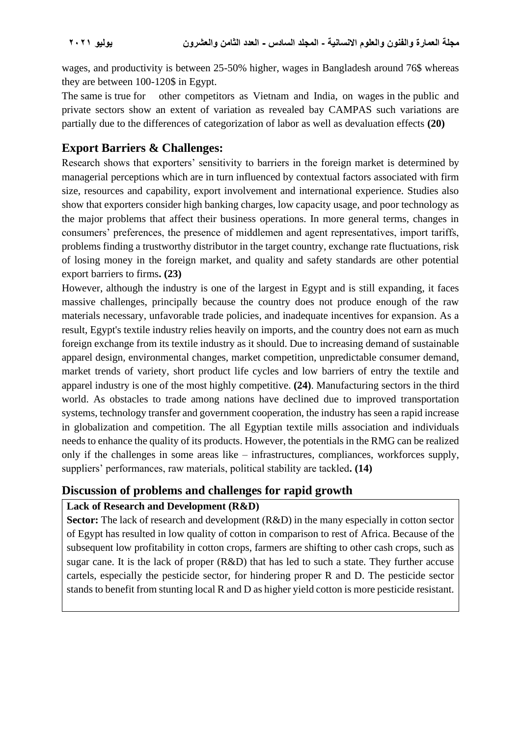wages, and productivity is between 25-50% higher, wages in Bangladesh around 76\$ whereas they are between 100-120\$ in Egypt.

The same is true for other competitors as Vietnam and India, on wages in the public and private sectors show an extent of variation as revealed bay CAMPAS such variations are partially due to the differences of categorization of labor as well as devaluation effects **(20)**

## **Export Barriers & Challenges:**

Research shows that exporters' sensitivity to barriers in the foreign market is determined by managerial perceptions which are in turn influenced by contextual factors associated with firm size, resources and capability, export involvement and international experience. Studies also show that exporters consider high banking charges, low capacity usage, and poor technology as the major problems that affect their business operations. In more general terms, changes in consumers' preferences, the presence of middlemen and agent representatives, import tariffs, problems finding a trustworthy distributor in the target country, exchange rate fluctuations, risk of losing money in the foreign market, and quality and safety standards are other potential export barriers to firms**. (23)**

However, although the industry is one of the largest in Egypt and is still expanding, it faces massive challenges, principally because the country does not produce enough of the raw materials necessary, unfavorable trade policies, and inadequate incentives for expansion. As a result, Egypt's textile industry relies heavily on imports, and the country does not earn as much foreign exchange from its textile industry as it should. Due to increasing demand of sustainable apparel design, environmental changes, market competition, unpredictable consumer demand, market trends of variety, short product life cycles and low barriers of entry the textile and apparel industry is one of the most highly competitive. **(24)**. Manufacturing sectors in the third world. As obstacles to trade among nations have declined due to improved transportation systems, technology transfer and government cooperation, the industry has seen a rapid increase in globalization and competition. The all Egyptian textile mills association and individuals needs to enhance the quality of its products. However, the potentials in the RMG can be realized only if the challenges in some areas like – infrastructures, compliances, workforces supply, suppliers' performances, raw materials, political stability are tackled**. (14)**

## **Discussion of problems and challenges for rapid growth**

## **Lack of Research and Development (R&D)**

**Sector:** The lack of research and development (R&D) in the many especially in cotton sector of Egypt has resulted in low quality of cotton in comparison to rest of Africa. Because of the subsequent low profitability in cotton crops, farmers are shifting to other cash crops, such as sugar cane. It is the lack of proper (R&D) that has led to such a state. They further accuse cartels, especially the pesticide sector, for hindering proper R and D. The pesticide sector stands to benefit from stunting local R and D as higher yield cotton is more pesticide resistant.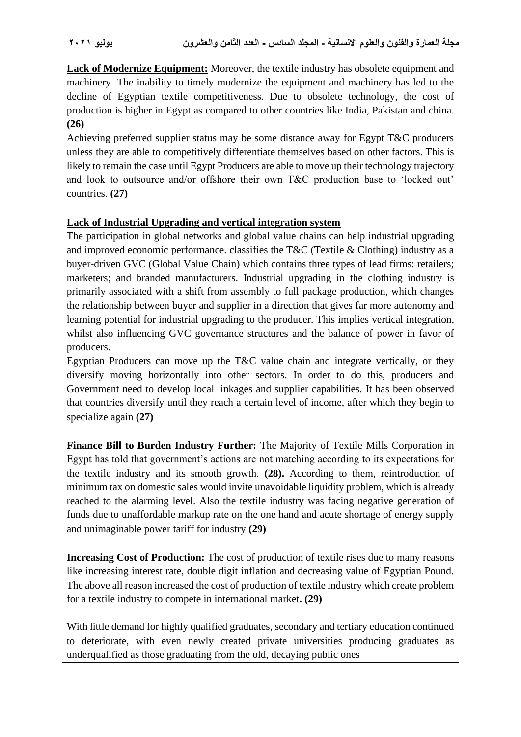**Lack of Modernize Equipment:** Moreover, the textile industry has obsolete equipment and machinery. The inability to timely modernize the equipment and machinery has led to the decline of Egyptian textile competitiveness. Due to obsolete technology, the cost of production is higher in Egypt as compared to other countries like India, Pakistan and china. **(26)**

Achieving preferred supplier status may be some distance away for Egypt T&C producers unless they are able to competitively differentiate themselves based on other factors. This is likely to remain the case until Egypt Producers are able to move up their technology trajectory and look to outsource and/or offshore their own T&C production base to 'locked out' countries. **(27)**

#### **Lack of Industrial Upgrading and vertical integration system**

The participation in global networks and global value chains can help industrial upgrading and improved economic performance. classifies the T&C (Textile & Clothing) industry as a buyer-driven GVC (Global Value Chain) which contains three types of lead firms: retailers; marketers; and branded manufacturers. Industrial upgrading in the clothing industry is primarily associated with a shift from assembly to full package production, which changes the relationship between buyer and supplier in a direction that gives far more autonomy and learning potential for industrial upgrading to the producer. This implies vertical integration, whilst also influencing GVC governance structures and the balance of power in favor of producers.

Egyptian Producers can move up the T&C value chain and integrate vertically, or they diversify moving horizontally into other sectors. In order to do this, producers and Government need to develop local linkages and supplier capabilities. It has been observed that countries diversify until they reach a certain level of income, after which they begin to specialize again **(27)**

**Finance Bill to Burden Industry Further:** The Majority of Textile Mills Corporation in Egypt has told that government's actions are not matching according to its expectations for the textile industry and its smooth growth. **(28).** According to them, reintroduction of minimum tax on domestic sales would invite unavoidable liquidity problem, which is already reached to the alarming level. Also the textile industry was facing negative generation of funds due to unaffordable markup rate on the one hand and acute shortage of energy supply and unimaginable power tariff for industry **(29)**

**Increasing Cost of Production:** The cost of production of textile rises due to many reasons like increasing interest rate, double digit inflation and decreasing value of Egyptian Pound. The above all reason increased the cost of production of textile industry which create problem for a textile industry to compete in international market**. (29)**

With little demand for highly qualified graduates, secondary and tertiary education continued to deteriorate, with even newly created private universities producing graduates as underqualified as those graduating from the old, decaying public ones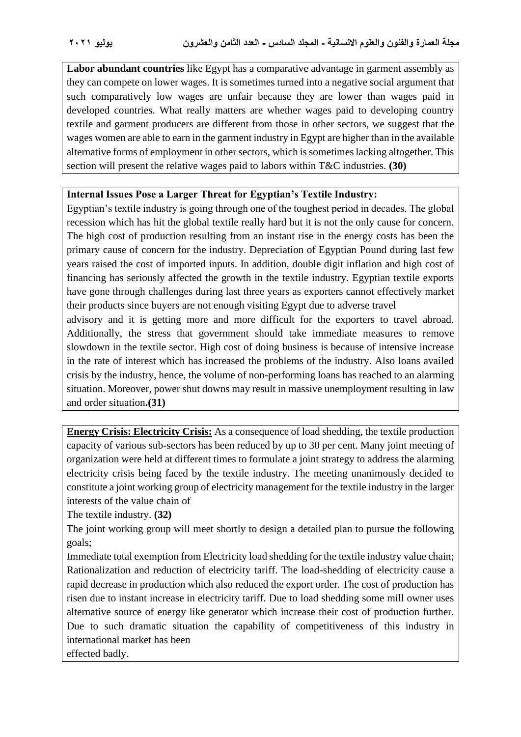**Labor abundant countries** like Egypt has a comparative advantage in garment assembly as they can compete on lower wages. It is sometimes turned into a negative social argument that such comparatively low wages are unfair because they are lower than wages paid in developed countries. What really matters are whether wages paid to developing country textile and garment producers are different from those in other sectors, we suggest that the wages women are able to earn in the garment industry in Egypt are higher than in the available alternative forms of employment in other sectors, which is sometimes lacking altogether. This section will present the relative wages paid to labors within T&C industries. **(30)**

#### **Internal Issues Pose a Larger Threat for Egyptian's Textile Industry:**

Egyptian's textile industry is going through one of the toughest period in decades. The global recession which has hit the global textile really hard but it is not the only cause for concern. The high cost of production resulting from an instant rise in the energy costs has been the primary cause of concern for the industry. Depreciation of Egyptian Pound during last few years raised the cost of imported inputs. In addition, double digit inflation and high cost of financing has seriously affected the growth in the textile industry. Egyptian textile exports have gone through challenges during last three years as exporters cannot effectively market their products since buyers are not enough visiting Egypt due to adverse travel

advisory and it is getting more and more difficult for the exporters to travel abroad. Additionally, the stress that government should take immediate measures to remove slowdown in the textile sector. High cost of doing business is because of intensive increase in the rate of interest which has increased the problems of the industry. Also loans availed crisis by the industry, hence, the volume of non-performing loans has reached to an alarming situation. Moreover, power shut downs may result in massive unemployment resulting in law and order situation**.(31)**

**Energy Crisis: Electricity Crisis:** As a consequence of load shedding, the textile production capacity of various sub-sectors has been reduced by up to 30 per cent. Many joint meeting of organization were held at different times to formulate a joint strategy to address the alarming electricity crisis being faced by the textile industry. The meeting unanimously decided to constitute a joint working group of electricity management for the textile industry in the larger interests of the value chain of

The textile industry. **(32)**

The joint working group will meet shortly to design a detailed plan to pursue the following goals;

Immediate total exemption from Electricity load shedding for the textile industry value chain; Rationalization and reduction of electricity tariff. The load-shedding of electricity cause a rapid decrease in production which also reduced the export order. The cost of production has risen due to instant increase in electricity tariff. Due to load shedding some mill owner uses alternative source of energy like generator which increase their cost of production further. Due to such dramatic situation the capability of competitiveness of this industry in international market has been

effected badly.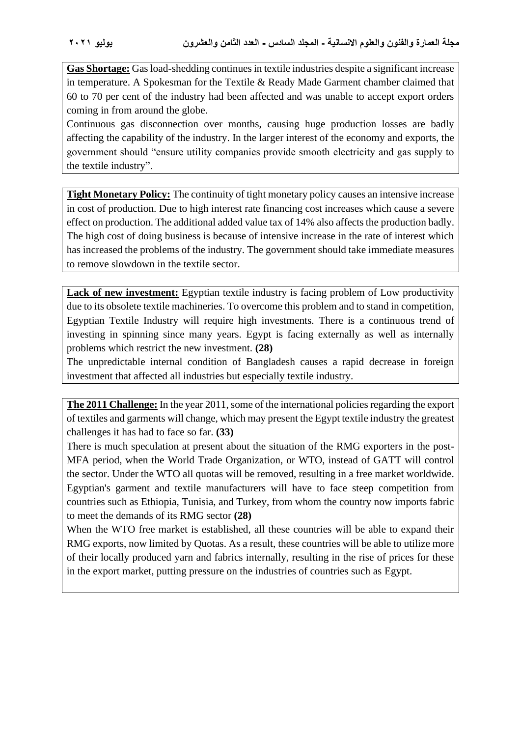**Gas Shortage:** Gas load-shedding continues in textile industries despite a significant increase in temperature. A Spokesman for the Textile & Ready Made Garment chamber claimed that 60 to 70 per cent of the industry had been affected and was unable to accept export orders coming in from around the globe.

Continuous gas disconnection over months, causing huge production losses are badly affecting the capability of the industry. In the larger interest of the economy and exports, the government should "ensure utility companies provide smooth electricity and gas supply to the textile industry".

**Tight Monetary Policy:** The continuity of tight monetary policy causes an intensive increase in cost of production. Due to high interest rate financing cost increases which cause a severe effect on production. The additional added value tax of 14% also affects the production badly. The high cost of doing business is because of intensive increase in the rate of interest which has increased the problems of the industry. The government should take immediate measures to remove slowdown in the textile sector.

Lack of new investment: Egyptian textile industry is facing problem of Low productivity due to its obsolete textile machineries. To overcome this problem and to stand in competition, Egyptian Textile Industry will require high investments. There is a continuous trend of investing in spinning since many years. Egypt is facing externally as well as internally problems which restrict the new investment. **(28)**

The unpredictable internal condition of Bangladesh causes a rapid decrease in foreign investment that affected all industries but especially textile industry.

**The 2011 Challenge:** In the year 2011, some of the international policies regarding the export of textiles and garments will change, which may present the Egypt textile industry the greatest challenges it has had to face so far. **(33)**

There is much speculation at present about the situation of the RMG exporters in the post-MFA period, when the World Trade Organization, or WTO, instead of GATT will control the sector. Under the WTO all quotas will be removed, resulting in a free market worldwide. Egyptian's garment and textile manufacturers will have to face steep competition from countries such as Ethiopia, Tunisia, and Turkey, from whom the country now imports fabric to meet the demands of its RMG sector **(28)**

When the WTO free market is established, all these countries will be able to expand their RMG exports, now limited by Quotas. As a result, these countries will be able to utilize more of their locally produced yarn and fabrics internally, resulting in the rise of prices for these in the export market, putting pressure on the industries of countries such as Egypt.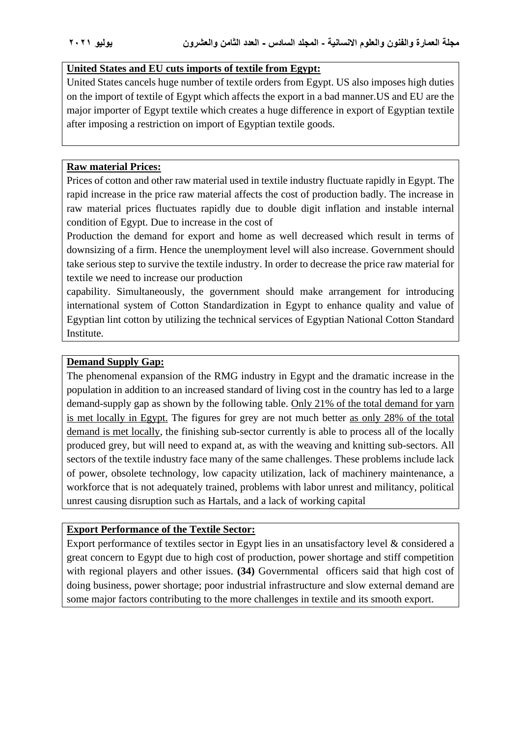#### **United States and EU cuts imports of textile from Egypt:**

United States cancels huge number of textile orders from Egypt. US also imposes high duties on the import of textile of Egypt which affects the export in a bad manner.US and EU are the major importer of Egypt textile which creates a huge difference in export of Egyptian textile after imposing a restriction on import of Egyptian textile goods.

#### **Raw material Prices:**

Prices of cotton and other raw material used in textile industry fluctuate rapidly in Egypt. The rapid increase in the price raw material affects the cost of production badly. The increase in raw material prices fluctuates rapidly due to double digit inflation and instable internal condition of Egypt. Due to increase in the cost of

Production the demand for export and home as well decreased which result in terms of downsizing of a firm. Hence the unemployment level will also increase. Government should take serious step to survive the textile industry. In order to decrease the price raw material for textile we need to increase our production

capability. Simultaneously, the government should make arrangement for introducing international system of Cotton Standardization in Egypt to enhance quality and value of Egyptian lint cotton by utilizing the technical services of Egyptian National Cotton Standard Institute.

#### **Demand Supply Gap:**

The phenomenal expansion of the RMG industry in Egypt and the dramatic increase in the population in addition to an increased standard of living cost in the country has led to a large demand-supply gap as shown by the following table. Only 21% of the total demand for yarn is met locally in Egypt. The figures for grey are not much better as only 28% of the total demand is met locally, the finishing sub-sector currently is able to process all of the locally produced grey, but will need to expand at, as with the weaving and knitting sub-sectors. All sectors of the textile industry face many of the same challenges. These problems include lack of power, obsolete technology, low capacity utilization, lack of machinery maintenance, a workforce that is not adequately trained, problems with labor unrest and militancy, political unrest causing disruption such as Hartals, and a lack of working capital

#### **Export Performance of the Textile Sector:**

Export performance of textiles sector in Egypt lies in an unsatisfactory level & considered a great concern to Egypt due to high cost of production, power shortage and stiff competition with regional players and other issues. **(34)** Governmental officers said that high cost of doing business, power shortage; poor industrial infrastructure and slow external demand are some major factors contributing to the more challenges in textile and its smooth export.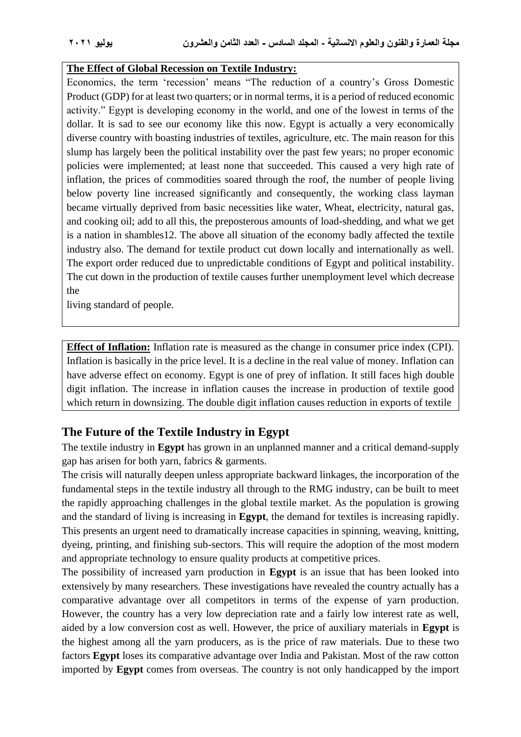#### **The Effect of Global Recession on Textile Industry:**

Economics, the term 'recession' means "The reduction of a country's Gross Domestic Product (GDP) for at least two quarters; or in normal terms, it is a period of reduced economic activity." Egypt is developing economy in the world, and one of the lowest in terms of the dollar. It is sad to see our economy like this now. Egypt is actually a very economically diverse country with boasting industries of textiles, agriculture, etc. The main reason for this slump has largely been the political instability over the past few years; no proper economic policies were implemented; at least none that succeeded. This caused a very high rate of inflation, the prices of commodities soared through the roof, the number of people living below poverty line increased significantly and consequently, the working class layman became virtually deprived from basic necessities like water, Wheat, electricity, natural gas, and cooking oil; add to all this, the preposterous amounts of load-shedding, and what we get is a nation in shambles12. The above all situation of the economy badly affected the textile industry also. The demand for textile product cut down locally and internationally as well. The export order reduced due to unpredictable conditions of Egypt and political instability. The cut down in the production of textile causes further unemployment level which decrease the

living standard of people.

**Effect of Inflation:** Inflation rate is measured as the change in consumer price index (CPI). Inflation is basically in the price level. It is a decline in the real value of money. Inflation can have adverse effect on economy. Egypt is one of prey of inflation. It still faces high double digit inflation. The increase in inflation causes the increase in production of textile good which return in downsizing. The double digit inflation causes reduction in exports of textile

## **The Future of the Textile Industry in Egypt**

The textile industry in **Egypt** has grown in an unplanned manner and a critical demand-supply gap has arisen for both yarn, fabrics & garments.

The crisis will naturally deepen unless appropriate backward linkages, the incorporation of the fundamental steps in the textile industry all through to the RMG industry, can be built to meet the rapidly approaching challenges in the global textile market. As the population is growing and the standard of living is increasing in **Egypt**, the demand for textiles is increasing rapidly. This presents an urgent need to dramatically increase capacities in spinning, weaving, knitting, dyeing, printing, and finishing sub-sectors. This will require the adoption of the most modern and appropriate technology to ensure quality products at competitive prices.

The possibility of increased yarn production in **Egypt** is an issue that has been looked into extensively by many researchers. These investigations have revealed the country actually has a comparative advantage over all competitors in terms of the expense of yarn production. However, the country has a very low depreciation rate and a fairly low interest rate as well, aided by a low conversion cost as well. However, the price of auxiliary materials in **Egypt** is the highest among all the yarn producers, as is the price of raw materials. Due to these two factors **Egypt** loses its comparative advantage over India and Pakistan. Most of the raw cotton imported by **Egypt** comes from overseas. The country is not only handicapped by the import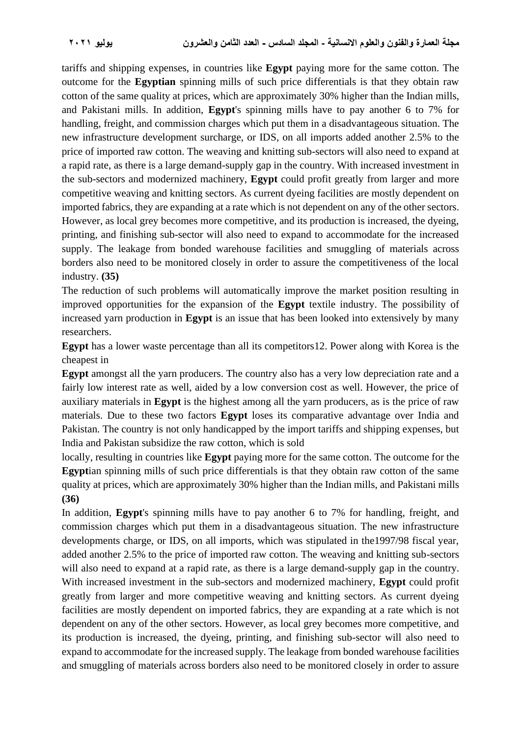tariffs and shipping expenses, in countries like **Egypt** paying more for the same cotton. The outcome for the **Egyptian** spinning mills of such price differentials is that they obtain raw cotton of the same quality at prices, which are approximately 30% higher than the Indian mills, and Pakistani mills. In addition, **Egypt**'s spinning mills have to pay another 6 to 7% for handling, freight, and commission charges which put them in a disadvantageous situation. The new infrastructure development surcharge, or IDS, on all imports added another 2.5% to the price of imported raw cotton. The weaving and knitting sub-sectors will also need to expand at a rapid rate, as there is a large demand-supply gap in the country. With increased investment in the sub-sectors and modernized machinery, **Egypt** could profit greatly from larger and more competitive weaving and knitting sectors. As current dyeing facilities are mostly dependent on imported fabrics, they are expanding at a rate which is not dependent on any of the other sectors. However, as local grey becomes more competitive, and its production is increased, the dyeing, printing, and finishing sub-sector will also need to expand to accommodate for the increased supply. The leakage from bonded warehouse facilities and smuggling of materials across borders also need to be monitored closely in order to assure the competitiveness of the local industry. **(35)**

The reduction of such problems will automatically improve the market position resulting in improved opportunities for the expansion of the **Egypt** textile industry. The possibility of increased yarn production in **Egypt** is an issue that has been looked into extensively by many researchers.

**Egypt** has a lower waste percentage than all its competitors12. Power along with Korea is the cheapest in

**Egypt** amongst all the yarn producers. The country also has a very low depreciation rate and a fairly low interest rate as well, aided by a low conversion cost as well. However, the price of auxiliary materials in **Egypt** is the highest among all the yarn producers, as is the price of raw materials. Due to these two factors **Egypt** loses its comparative advantage over India and Pakistan. The country is not only handicapped by the import tariffs and shipping expenses, but India and Pakistan subsidize the raw cotton, which is sold

locally, resulting in countries like **Egypt** paying more for the same cotton. The outcome for the **Egypt**ian spinning mills of such price differentials is that they obtain raw cotton of the same quality at prices, which are approximately 30% higher than the Indian mills, and Pakistani mills **(36)**

In addition, **Egypt**'s spinning mills have to pay another 6 to 7% for handling, freight, and commission charges which put them in a disadvantageous situation. The new infrastructure developments charge, or IDS, on all imports, which was stipulated in the1997/98 fiscal year, added another 2.5% to the price of imported raw cotton. The weaving and knitting sub-sectors will also need to expand at a rapid rate, as there is a large demand-supply gap in the country. With increased investment in the sub-sectors and modernized machinery, **Egypt** could profit greatly from larger and more competitive weaving and knitting sectors. As current dyeing facilities are mostly dependent on imported fabrics, they are expanding at a rate which is not dependent on any of the other sectors. However, as local grey becomes more competitive, and its production is increased, the dyeing, printing, and finishing sub-sector will also need to expand to accommodate for the increased supply. The leakage from bonded warehouse facilities and smuggling of materials across borders also need to be monitored closely in order to assure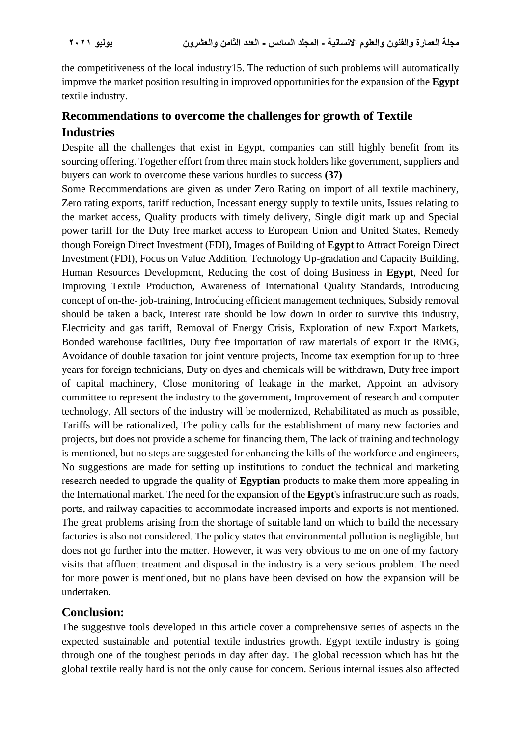the competitiveness of the local industry15. The reduction of such problems will automatically improve the market position resulting in improved opportunities for the expansion of the **Egypt** textile industry.

## **Recommendations to overcome the challenges for growth of Textile Industries**

Despite all the challenges that exist in Egypt, companies can still highly benefit from its sourcing offering. Together effort from three main stock holders like government, suppliers and buyers can work to overcome these various hurdles to success **(37)**

Some Recommendations are given as under Zero Rating on import of all textile machinery, Zero rating exports, tariff reduction, Incessant energy supply to textile units, Issues relating to the market access, Quality products with timely delivery, Single digit mark up and Special power tariff for the Duty free market access to European Union and United States, Remedy though Foreign Direct Investment (FDI), Images of Building of **Egypt** to Attract Foreign Direct Investment (FDI), Focus on Value Addition, Technology Up-gradation and Capacity Building, Human Resources Development, Reducing the cost of doing Business in **Egypt**, Need for Improving Textile Production, Awareness of International Quality Standards, Introducing concept of on-the- job-training, Introducing efficient management techniques, Subsidy removal should be taken a back, Interest rate should be low down in order to survive this industry, Electricity and gas tariff, Removal of Energy Crisis, Exploration of new Export Markets, Bonded warehouse facilities, Duty free importation of raw materials of export in the RMG, Avoidance of double taxation for joint venture projects, Income tax exemption for up to three years for foreign technicians, Duty on dyes and chemicals will be withdrawn, Duty free import of capital machinery, Close monitoring of leakage in the market, Appoint an advisory committee to represent the industry to the government, Improvement of research and computer technology, All sectors of the industry will be modernized, Rehabilitated as much as possible, Tariffs will be rationalized, The policy calls for the establishment of many new factories and projects, but does not provide a scheme for financing them, The lack of training and technology is mentioned, but no steps are suggested for enhancing the kills of the workforce and engineers, No suggestions are made for setting up institutions to conduct the technical and marketing research needed to upgrade the quality of **Egyptian** products to make them more appealing in the International market. The need for the expansion of the **Egypt**'s infrastructure such as roads, ports, and railway capacities to accommodate increased imports and exports is not mentioned. The great problems arising from the shortage of suitable land on which to build the necessary factories is also not considered. The policy states that environmental pollution is negligible, but does not go further into the matter. However, it was very obvious to me on one of my factory visits that affluent treatment and disposal in the industry is a very serious problem. The need for more power is mentioned, but no plans have been devised on how the expansion will be undertaken.

## **Conclusion:**

The suggestive tools developed in this article cover a comprehensive series of aspects in the expected sustainable and potential textile industries growth. Egypt textile industry is going through one of the toughest periods in day after day. The global recession which has hit the global textile really hard is not the only cause for concern. Serious internal issues also affected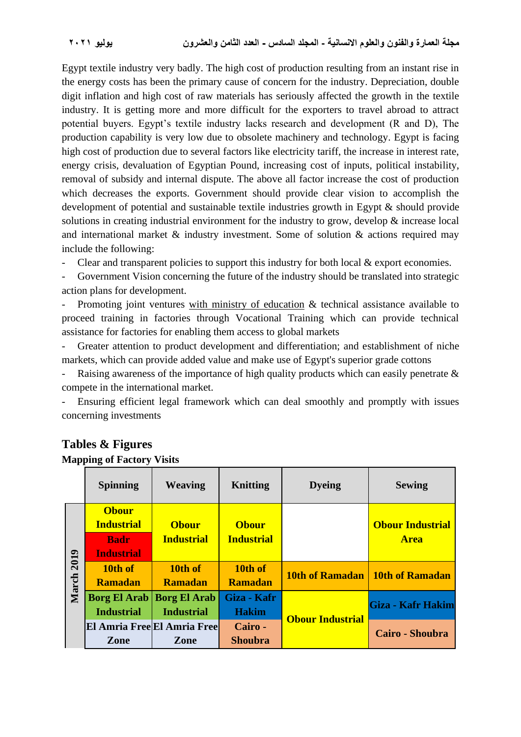Egypt textile industry very badly. The high cost of production resulting from an instant rise in the energy costs has been the primary cause of concern for the industry. Depreciation, double digit inflation and high cost of raw materials has seriously affected the growth in the textile industry. It is getting more and more difficult for the exporters to travel abroad to attract potential buyers. Egypt's textile industry lacks research and development (R and D), The production capability is very low due to obsolete machinery and technology. Egypt is facing high cost of production due to several factors like electricity tariff, the increase in interest rate, energy crisis, devaluation of Egyptian Pound, increasing cost of inputs, political instability, removal of subsidy and internal dispute. The above all factor increase the cost of production which decreases the exports. Government should provide clear vision to accomplish the development of potential and sustainable textile industries growth in Egypt & should provide solutions in creating industrial environment for the industry to grow, develop & increase local and international market & industry investment. Some of solution & actions required may include the following:

- Clear and transparent policies to support this industry for both local & export economies.

Government Vision concerning the future of the industry should be translated into strategic action plans for development.

Promoting joint ventures with ministry of education & technical assistance available to proceed training in factories through Vocational Training which can provide technical assistance for factories for enabling them access to global markets

Greater attention to product development and differentiation; and establishment of niche markets, which can provide added value and make use of Egypt's superior grade cottons

Raising awareness of the importance of high quality products which can easily penetrate  $\&$ compete in the international market.

- Ensuring efficient legal framework which can deal smoothly and promptly with issues concerning investments

|            | <b>Spinning</b>                   | <b>Weaving</b>              | Knitting          | <b>Dyeing</b>           | <b>Sewing</b>                          |  |
|------------|-----------------------------------|-----------------------------|-------------------|-------------------------|----------------------------------------|--|
| March 2019 | <b>Obour</b><br><b>Industrial</b> | <b>Obour</b>                | <b>Obour</b>      |                         | <b>Obour Industrial</b><br><b>Area</b> |  |
|            | <b>Badr</b>                       | <b>Industrial</b>           | <b>Industrial</b> |                         |                                        |  |
|            | <b>Industrial</b><br>10th of      | 10th of                     | 10th of           |                         |                                        |  |
|            | <b>Ramadan</b>                    | <b>Ramadan</b>              | <b>Ramadan</b>    |                         | 10th of Ramadan   10th of Ramadan      |  |
|            | <b>Borg El Arab</b>               | <b>Borg El Arab</b>         | Giza - Kafr       |                         | Giza - Kafr Hakim                      |  |
|            | <b>Industrial</b>                 | <b>Industrial</b>           | <b>Hakim</b>      | <b>Obour Industrial</b> |                                        |  |
|            |                                   | El Amria Free El Amria Free | Cairo -           |                         | Cairo - Shoubra                        |  |
|            | Zone                              | <b>Zone</b>                 | <b>Shoubra</b>    |                         |                                        |  |

#### **Tables & Figures Mapping of Factory Visits**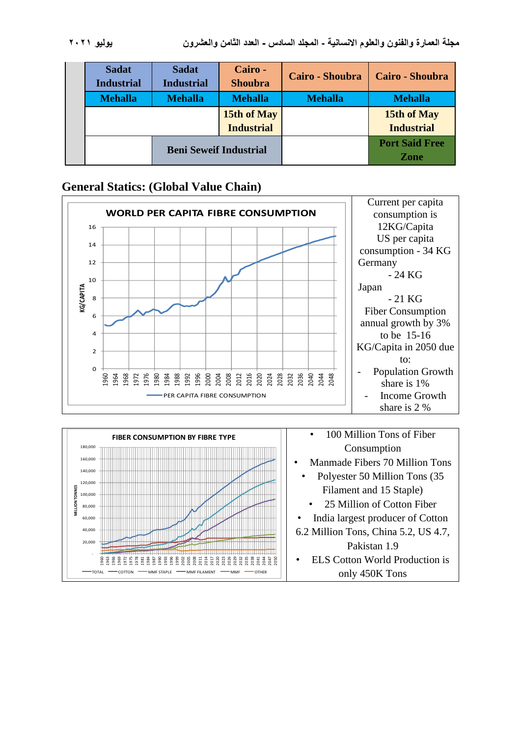| <b>Sadat</b><br><b>Industrial</b> | <b>Sadat</b><br><b>Industrial</b> | Cairo -<br><b>Shoubra</b> | Cairo - Shoubra | <b>Cairo - Shoubra</b> |  |
|-----------------------------------|-----------------------------------|---------------------------|-----------------|------------------------|--|
| <b>Mehalla</b>                    | <b>Mehalla</b>                    | <b>Mehalla</b>            | <b>Mehalla</b>  | <b>Mehalla</b>         |  |
|                                   |                                   | 15th of May               |                 | 15th of May            |  |
|                                   |                                   | <b>Industrial</b>         |                 | <b>Industrial</b>      |  |
|                                   | <b>Beni Seweif Industrial</b>     |                           |                 | <b>Port Said Free</b>  |  |
|                                   |                                   |                           |                 | Zone                   |  |

### **General Statics: (Global Value Chain)**



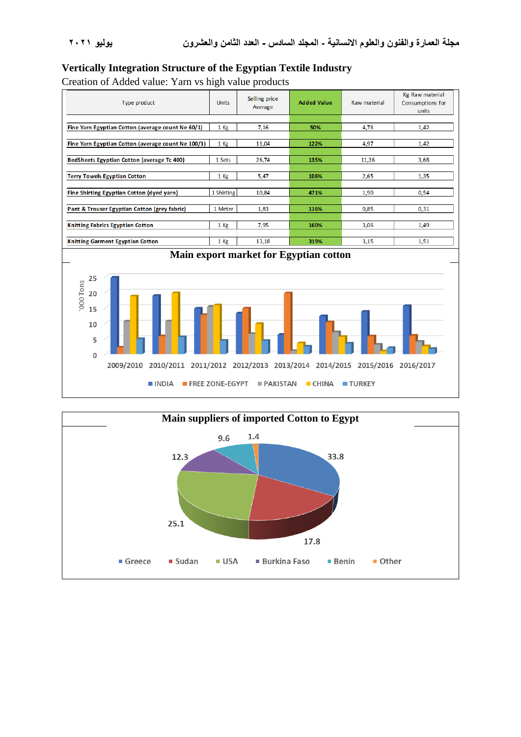#### **Vertically Integration Structure of the Egyptian Textile Industry**

Creation of Added value: Yarn vs high value products

| Type product                                       | <b>Units</b> | Selling price<br>Average | <b>Added Value</b> | Raw material | Kg Raw material<br><b>Consumptions for</b><br>units |  |  |  |
|----------------------------------------------------|--------------|--------------------------|--------------------|--------------|-----------------------------------------------------|--|--|--|
|                                                    |              |                          |                    |              |                                                     |  |  |  |
| Fine Yarn Egyptian Cotton (average count Ne 60/1)  | 1 Kg         | 7,16                     | 50%                |              | 1,42                                                |  |  |  |
|                                                    |              |                          |                    |              |                                                     |  |  |  |
| Fine Yarn Egyptian Cotton (average count Ne 100/1) | 1 Kg         | 11,04                    | 122%               | 4,97         | 1,42                                                |  |  |  |
|                                                    |              |                          |                    |              |                                                     |  |  |  |
| BedSheets Egyptian Cotton (average Tc 400)         | 1 Sets       | 26,74                    | 135%               | 11,36        | 3,68                                                |  |  |  |
|                                                    |              |                          |                    |              |                                                     |  |  |  |
| <b>Terry Towels Egyptian Cotton</b>                | $1$ Kg       | 5,47                     | 106%               | 2,65         | 1,35                                                |  |  |  |
|                                                    |              |                          |                    |              |                                                     |  |  |  |
| Fine Shirting Egyptian Cotton (dyed yarn)          | 1 Shirting   | 10,84                    | 471%               | 1,90         | 0,54                                                |  |  |  |
|                                                    |              |                          |                    |              |                                                     |  |  |  |
| Pant & Trouser Egyptian Cotton (grey fabric)       | 1 Meter      | 1,83                     | 116%               | 0,85         | 0,31                                                |  |  |  |
|                                                    |              |                          |                    |              |                                                     |  |  |  |
| <b>Knitting Fabrics Egyptian Cotton</b>            | $1$ Kg       | 7,95                     | 160%               | 3,06         | 1,49                                                |  |  |  |
|                                                    |              |                          |                    |              |                                                     |  |  |  |
| <b>Knitting Garment Egyptian Cotton</b>            | $1$ Kg       | 13,18                    | 319%               | 3,15         | 1,51                                                |  |  |  |
| Main export market for Egyptian cotton             |              |                          |                    |              |                                                     |  |  |  |



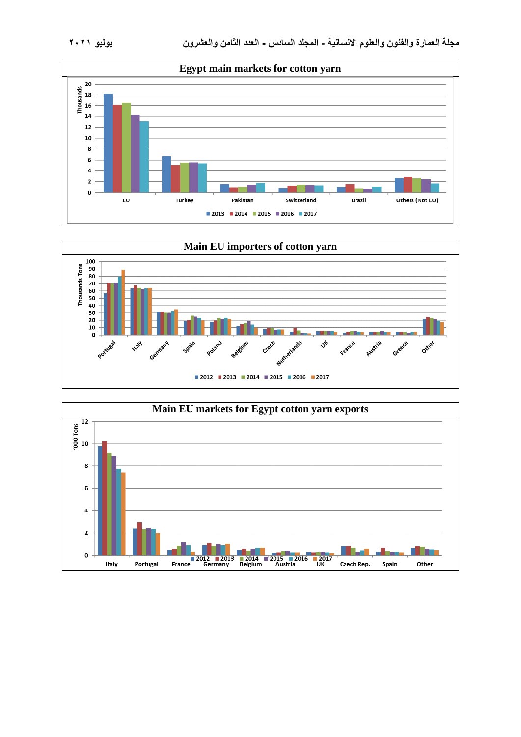



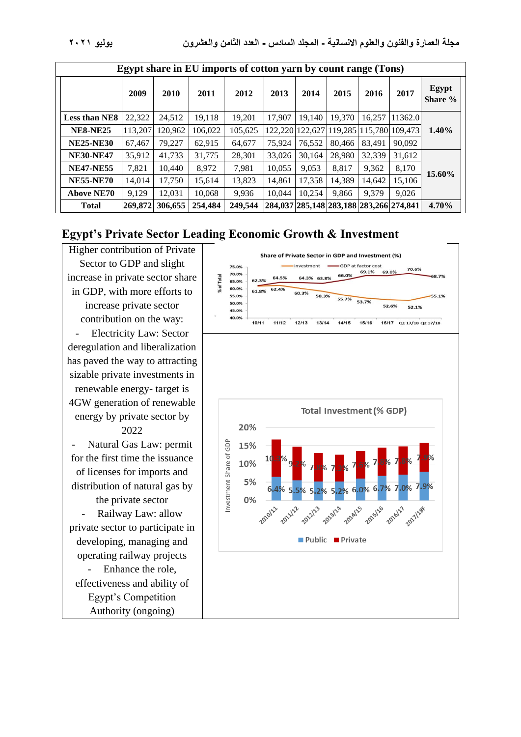| Egypt share in EU imports of cotton yarn by count range (Tons) |         |         |         |         |         |                                         |        |        |                         |                  |
|----------------------------------------------------------------|---------|---------|---------|---------|---------|-----------------------------------------|--------|--------|-------------------------|------------------|
|                                                                | 2009    | 2010    | 2011    | 2012    | 2013    | 2014                                    | 2015   | 2016   | 2017                    | Egypt<br>Share % |
| <b>Less than NE8</b>                                           | 22,322  | 24,512  | 19,118  | 19.201  | 17.907  | 19.140                                  | 19,370 | 16.257 | 11362.0                 |                  |
| <b>NE8-NE25</b>                                                | 113.207 | 120.962 | 106,022 | 105,625 | 122.220 | 122.627                                 |        |        | 119,285 115,780 109,473 | 1.40%            |
| <b>NE25-NE30</b>                                               | 67,467  | 79.227  | 62,915  | 64,677  | 75.924  | 76.552                                  | 80,466 | 83.491 | 90,092                  |                  |
| <b>NE30-NE47</b>                                               | 35,912  | 41,733  | 31,775  | 28,301  | 33,026  | 30.164                                  | 28,980 | 32,339 | 31,612                  |                  |
| <b>NE47-NE55</b>                                               | 7,821   | 10.440  | 8,972   | 7,981   | 10,055  | 9,053                                   | 8,817  | 9,362  | 8,170                   | 15.60%           |
| <b>NE55-NE70</b>                                               | 14.014  | 17.750  | 15,614  | 13,823  | 14.861  | 17.358                                  | 14,389 | 14.642 | 15.106                  |                  |
| <b>Above NE70</b>                                              | 9,129   | 12,031  | 10,068  | 9,936   | 10.044  | 10.254                                  | 9,866  | 9,379  | 9,026                   |                  |
| <b>Total</b>                                                   | 269,872 | 306,655 | 254,484 | 249,544 |         | 284,037 285,148 283,188 283,266 274,841 |        |        |                         | 4.70%            |

## **Egypt's Private Sector Leading Economic Growth & Investment**

Higher contribution of Private Sector to GDP and slight increase in private sector share in GDP, with more efforts to increase private sector contribution on the way: Electricity Law: Sector deregulation and liberalization has paved the way to attracting sizable private investments in renewable energy- target is 4GW generation of renewable energy by private sector by 2022 Natural Gas Law: permit for the first time the issuance of licenses for imports and distribution of natural gas by the private sector Railway Law: allow private sector to participate in developing, managing and operating railway projects - Enhance the role, effectiveness and ability of Egypt's Competition Authority (ongoing)

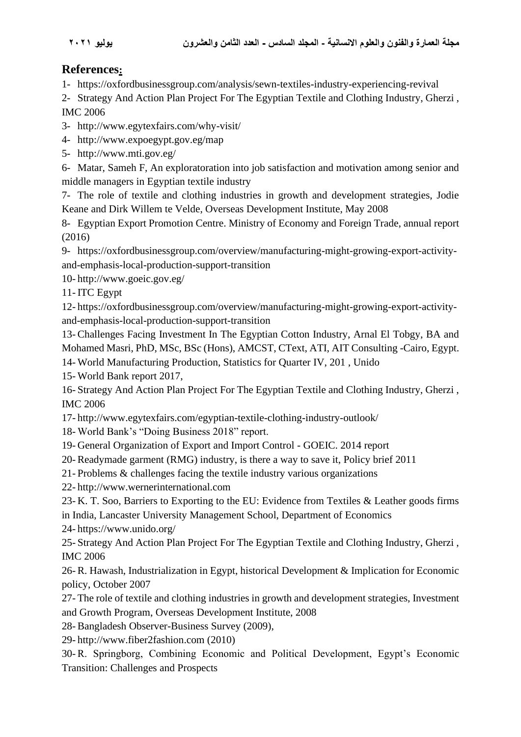## **References:**

1- <https://oxfordbusinessgroup.com/analysis/sewn-textiles-industry-experiencing-revival>

2- Strategy And Action Plan Project For The Egyptian Textile and Clothing Industry, Gherzi , IMC 2006

- 3- http://www.egytexfairs.com/why-visit/
- 4- <http://www.expoegypt.gov.eg/map>
- 5- <http://www.mti.gov.eg/>

6- Matar, Sameh F, An exploratoration into job satisfaction and motivation among senior and middle managers in Egyptian textile industry

7- The role of textile and clothing industries in growth and development strategies, Jodie Keane and Dirk Willem te Velde, Overseas Development Institute, May 2008

8- Egyptian Export Promotion Centre. Ministry of Economy and Foreign Trade, annual report (2016)

9- [https://oxfordbusinessgroup.com/overview/manufacturing-might-growing-export-activity](https://oxfordbusinessgroup.com/overview/manufacturing-might-growing-export-activity-and-emphasis-local-production-support-transition)[and-emphasis-local-production-support-transition](https://oxfordbusinessgroup.com/overview/manufacturing-might-growing-export-activity-and-emphasis-local-production-support-transition)

10- <http://www.goeic.gov.eg/>

11- ITC Egypt

12- [https://oxfordbusinessgroup.com/overview/manufacturing-might-growing-export-activity](https://oxfordbusinessgroup.com/overview/manufacturing-might-growing-export-activity-and-emphasis-local-production-support-transition)[and-emphasis-local-production-support-transition](https://oxfordbusinessgroup.com/overview/manufacturing-might-growing-export-activity-and-emphasis-local-production-support-transition)

13- Challenges Facing Investment In The Egyptian Cotton Industry, Arnal El Tobgy, BA and Mohamed Masri, PhD, MSc, BSc (Hons), AMCST, CText, ATI, AIT Consulting -Cairo, Egypt.

14- World Manufacturing Production, Statistics for Quarter IV, 201 , Unido

15- World Bank report 2017,

16- Strategy And Action Plan Project For The Egyptian Textile and Clothing Industry, Gherzi , IMC 2006

- 17- <http://www.egytexfairs.com/egyptian-textile-clothing-industry-outlook/>
- 18- World Bank's "Doing Business 2018" report.
- 19- General Organization of Export and Import Control GOEIC. 2014 report
- 20- Readymade garment (RMG) industry, is there a way to save it, Policy brief 2011
- 21- Problems & challenges facing the textile industry various organizations
- 22- [http://www.wernerinternational.com](http://www.wernerinternational.com/)
- 23- K. T. Soo, Barriers to Exporting to the EU: Evidence from Textiles & Leather goods firms in India, Lancaster University Management School, Department of Economics

24- <https://www.unido.org/>

25- Strategy And Action Plan Project For The Egyptian Textile and Clothing Industry, Gherzi , IMC 2006

26- R. Hawash, Industrialization in Egypt, historical Development & Implication for Economic policy, October 2007

27- The role of textile and clothing industries in growth and development strategies, Investment and Growth Program, Overseas Development Institute, 2008

28- Bangladesh Observer-Business Survey (2009),

29- http://www.fiber2fashion.com (2010)

30- R. Springborg, Combining Economic and Political Development, Egypt's Economic Transition: Challenges and Prospects